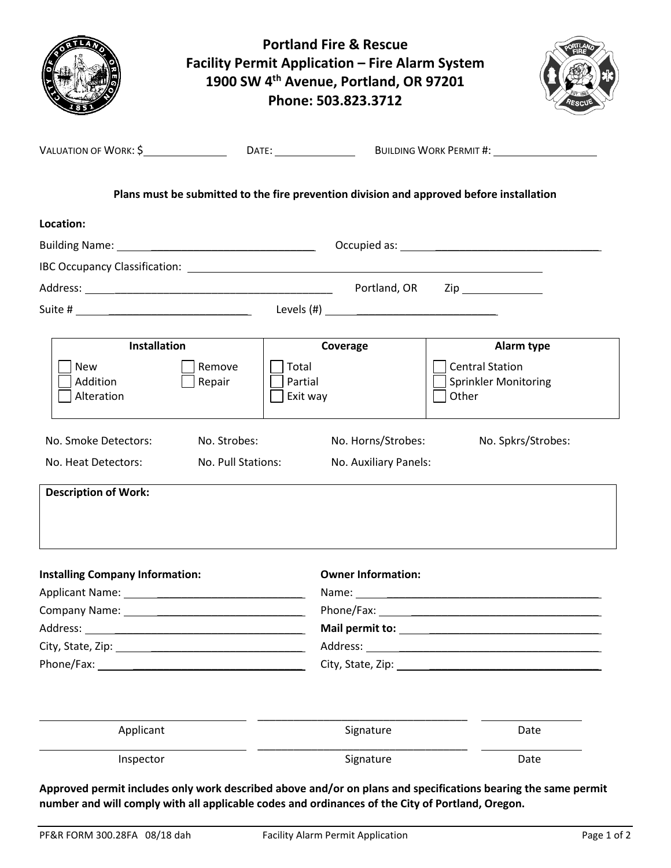| <b>Portland Fire &amp; Rescue</b><br><b>Facility Permit Application - Fire Alarm System</b><br>1900 SW 4th Avenue, Portland, OR 97201<br>Phone: 503.823.3712                                                                   |                                    |                                             |                                                                                                                |  |
|--------------------------------------------------------------------------------------------------------------------------------------------------------------------------------------------------------------------------------|------------------------------------|---------------------------------------------|----------------------------------------------------------------------------------------------------------------|--|
|                                                                                                                                                                                                                                |                                    |                                             |                                                                                                                |  |
|                                                                                                                                                                                                                                |                                    |                                             | Plans must be submitted to the fire prevention division and approved before installation                       |  |
| Location:                                                                                                                                                                                                                      |                                    |                                             |                                                                                                                |  |
|                                                                                                                                                                                                                                |                                    |                                             |                                                                                                                |  |
|                                                                                                                                                                                                                                |                                    |                                             |                                                                                                                |  |
|                                                                                                                                                                                                                                |                                    |                                             |                                                                                                                |  |
|                                                                                                                                                                                                                                |                                    | Levels $(\#)$                               |                                                                                                                |  |
|                                                                                                                                                                                                                                |                                    |                                             |                                                                                                                |  |
| <b>Installation</b>                                                                                                                                                                                                            |                                    | Coverage                                    | Alarm type                                                                                                     |  |
| <b>New</b><br>Addition<br>Alteration                                                                                                                                                                                           | Remove<br>Repair                   | Total<br>Partial<br>Exit way                | <b>Central Station</b><br><b>Sprinkler Monitoring</b><br>Other                                                 |  |
| No. Smoke Detectors:<br>No. Heat Detectors:                                                                                                                                                                                    | No. Strobes:<br>No. Pull Stations: | No. Horns/Strobes:<br>No. Auxiliary Panels: | No. Spkrs/Strobes:                                                                                             |  |
| <b>Description of Work:</b>                                                                                                                                                                                                    |                                    |                                             |                                                                                                                |  |
| <b>Installing Company Information:</b>                                                                                                                                                                                         |                                    | <b>Owner Information:</b>                   |                                                                                                                |  |
|                                                                                                                                                                                                                                |                                    |                                             |                                                                                                                |  |
| Company Name: Name and Second Company Name and Second Company Name and Second Company of the Company of the Company of the Company of the Company of the Company of the Company of the Company of the Company of the Company o |                                    |                                             |                                                                                                                |  |
|                                                                                                                                                                                                                                |                                    |                                             |                                                                                                                |  |
|                                                                                                                                                                                                                                |                                    |                                             |                                                                                                                |  |
|                                                                                                                                                                                                                                |                                    |                                             | City, State, Zip: The City of the City of the City of the City of the City of the City of the City of the City |  |
| Applicant                                                                                                                                                                                                                      |                                    | Signature                                   | Date                                                                                                           |  |
| Inspector                                                                                                                                                                                                                      |                                    | Signature                                   | Date                                                                                                           |  |